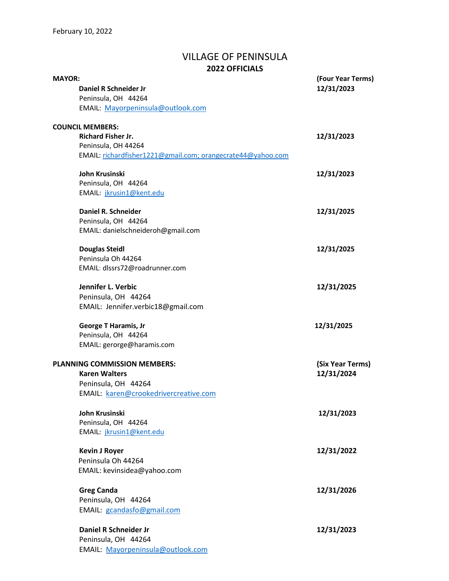# VILLAGE OF PENINSULA **2022 OFFICIALS**

| <b>MAYOR:</b> |                                                             | (Four Year Terms) |
|---------------|-------------------------------------------------------------|-------------------|
|               | Daniel R Schneider Jr                                       | 12/31/2023        |
|               | Peninsula, OH 44264                                         |                   |
|               | EMAIL: Mayorpeninsula@outlook.com                           |                   |
|               | <b>COUNCIL MEMBERS:</b>                                     |                   |
|               | <b>Richard Fisher Jr.</b>                                   | 12/31/2023        |
|               | Peninsula, OH 44264                                         |                   |
|               | EMAIL: richardfisher1221@gmail.com; orangecrate44@yahoo.com |                   |
|               | John Krusinski                                              | 12/31/2023        |
|               | Peninsula, OH 44264                                         |                   |
|               | EMAIL: jkrusin1@kent.edu                                    |                   |
|               | Daniel R. Schneider                                         | 12/31/2025        |
|               | Peninsula, OH 44264                                         |                   |
|               | EMAIL: danielschneideroh@gmail.com                          |                   |
|               | <b>Douglas Steidl</b>                                       | 12/31/2025        |
|               | Peninsula Oh 44264                                          |                   |
|               | EMAIL: dlssrs72@roadrunner.com                              |                   |
|               | Jennifer L. Verbic                                          | 12/31/2025        |
|               | Peninsula, OH 44264                                         |                   |
|               | EMAIL: Jennifer.verbic18@gmail.com                          |                   |
|               | <b>George T Haramis, Jr</b>                                 | 12/31/2025        |
|               | Peninsula, OH 44264                                         |                   |
|               | EMAIL: gerorge@haramis.com                                  |                   |
|               | <b>PLANNING COMMISSION MEMBERS:</b>                         | (Six Year Terms)  |
|               | <b>Karen Walters</b>                                        | 12/31/2024        |
|               | Peninsula, OH 44264                                         |                   |
|               | EMAIL: karen@crookedrivercreative.com                       |                   |
|               | <b>John Krusinski</b>                                       | 12/31/2023        |
|               | Peninsula, OH 44264                                         |                   |
|               | EMAIL: jkrusin1@kent.edu                                    |                   |
|               |                                                             |                   |
|               | <b>Kevin J Royer</b>                                        | 12/31/2022        |
|               | Peninsula Oh 44264                                          |                   |
|               | EMAIL: kevinsidea@yahoo.com                                 |                   |
|               | <b>Greg Canda</b>                                           | 12/31/2026        |
|               | Peninsula, OH 44264                                         |                   |
|               | EMAIL: gcandasfo@gmail.com                                  |                   |
|               | Daniel R Schneider Jr                                       | 12/31/2023        |
|               | Peninsula, OH 44264                                         |                   |
|               | EMAIL: Mayorpeninsula@outlook.com                           |                   |
|               |                                                             |                   |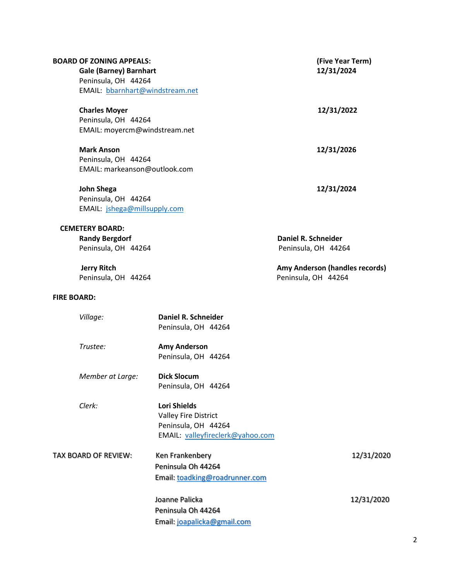|                       | <b>BOARD OF ZONING APPEALS:</b><br><b>Gale (Barney) Barnhart</b> | (Five Year Term)<br>12/31/2024   |                                |  |
|-----------------------|------------------------------------------------------------------|----------------------------------|--------------------------------|--|
|                       | Peninsula, OH 44264                                              |                                  |                                |  |
|                       | EMAIL: bbarnhart@windstream.net                                  |                                  |                                |  |
|                       | <b>Charles Moyer</b>                                             |                                  | 12/31/2022                     |  |
|                       | Peninsula, OH 44264                                              |                                  |                                |  |
|                       | EMAIL: moyercm@windstream.net                                    |                                  |                                |  |
|                       | <b>Mark Anson</b>                                                |                                  | 12/31/2026                     |  |
|                       | Peninsula, OH 44264                                              |                                  |                                |  |
|                       | EMAIL: markeanson@outlook.com                                    |                                  |                                |  |
|                       | <b>John Shega</b>                                                |                                  | 12/31/2024                     |  |
|                       | Peninsula, OH 44264                                              |                                  |                                |  |
|                       | EMAIL: jshega@millsupply.com                                     |                                  |                                |  |
|                       | <b>CEMETERY BOARD:</b>                                           |                                  |                                |  |
| <b>Randy Bergdorf</b> |                                                                  |                                  | Daniel R. Schneider            |  |
|                       | Peninsula, OH 44264                                              |                                  | Peninsula, OH 44264            |  |
|                       | <b>Jerry Ritch</b>                                               |                                  | Amy Anderson (handles records) |  |
|                       | Peninsula, OH 44264                                              |                                  | Peninsula, OH 44264            |  |
| <b>FIRE BOARD:</b>    |                                                                  |                                  |                                |  |
|                       | Village:                                                         | Daniel R. Schneider              |                                |  |
|                       |                                                                  | Peninsula, OH 44264              |                                |  |
|                       | Trustee:                                                         | <b>Amy Anderson</b>              |                                |  |
|                       |                                                                  | Peninsula, OH 44264              |                                |  |
|                       | Member at Large:                                                 | <b>Dick Slocum</b>               |                                |  |
|                       |                                                                  | Peninsula, OH 44264              |                                |  |
|                       | Clerk:                                                           | <b>Lori Shields</b>              |                                |  |
|                       |                                                                  | <b>Valley Fire District</b>      |                                |  |
|                       |                                                                  | Peninsula, OH 44264              |                                |  |
|                       |                                                                  | EMAIL: valleyfireclerk@yahoo.com |                                |  |
| TAX BOARD OF REVIEW:  |                                                                  | Ken Frankenbery                  | 12/31/2020                     |  |
|                       |                                                                  | Peninsula Oh 44264               |                                |  |
|                       |                                                                  | Email: toadking@roadrunner.com   |                                |  |
|                       |                                                                  | Joanne Palicka                   | 12/31/2020                     |  |
|                       |                                                                  | Peninsula Oh 44264               |                                |  |
|                       |                                                                  |                                  |                                |  |
|                       |                                                                  | Email: joapalicka@gmail.com      |                                |  |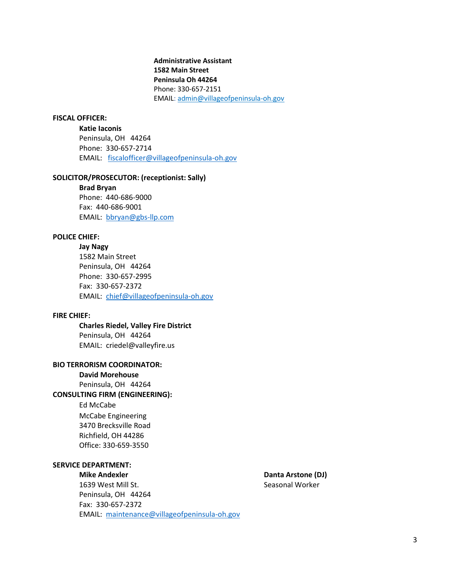## **Administrative Assistant 1582 Main Street Peninsula Oh 44264** Phone: 330-657-2151 EMAIL: [admin@villageofpeninsula-oh.gov](mailto:admin@villageofpeninsula-oh.gov)

#### **FISCAL OFFICER:**

#### **Katie Iaconis**

Peninsula, OH 44264 Phone: 330-657-2714 EMAIL: [fiscalofficer@villageofpeninsula-oh.gov](mailto:fiscalofficer@villageofpeninsula-oh.gov)

#### **SOLICITOR/PROSECUTOR: (receptionist: Sally)**

**Brad Bryan** Phone: 440-686-9000 Fax: 440-686-9001 EMAIL: [bbryan@gbs-llp.com](mailto:bbryan@gbs-llp.com)

#### **POLICE CHIEF:**

**Jay Nagy** 1582 Main Street Peninsula, OH 44264 Phone: 330-657-2995 Fax: 330-657-2372 EMAIL: [chief@villageofpeninsula-oh.gov](mailto:chief@villageofpeninsula-oh.gov)

#### **FIRE CHIEF:**

## **Charles Riedel, Valley Fire District** Peninsula, OH 44264 EMAIL: criedel@valleyfire.us

#### **BIO TERRORISM COORDINATOR:**

**David Morehouse** Peninsula, OH 44264 **CONSULTING FIRM (ENGINEERING):** Ed McCabe

McCabe Engineering 3470 Brecksville Road Richfield, OH 44286 Office: 330-659-3550

#### **SERVICE DEPARTMENT:**

## **Mike Andexler Danta Arstone (DJ)** 1639 West Mill St. Seasonal Worker Peninsula, OH 44264 Fax: 330-657-2372 EMAIL: [maintenance@villageofpeninsula-oh.gov](mailto:maintenance@villageofpeninsula-oh.gov)